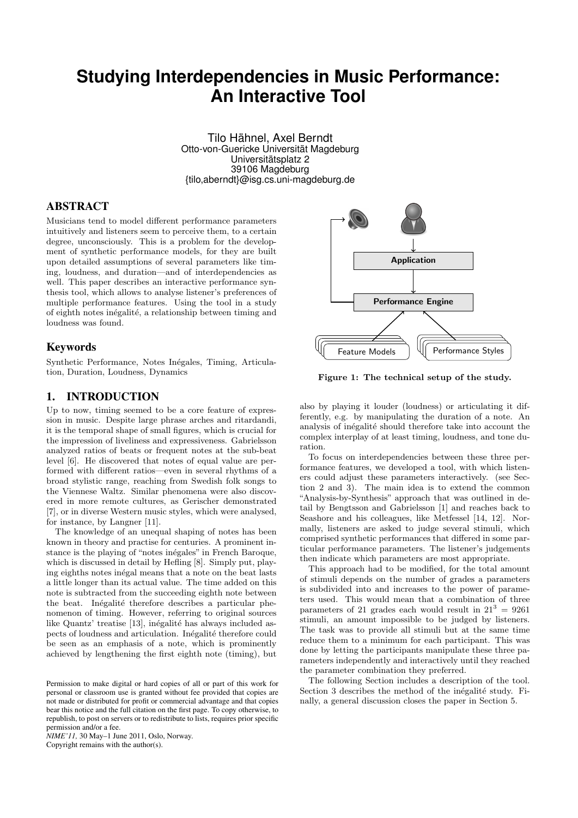# **Studying Interdependencies in Music Performance: An Interactive Tool**

Tilo Hähnel, Axel Berndt Otto-von-Guericke Universität Magdeburg Universitätsplatz 2 39106 Magdeburg {tilo,aberndt}@isg.cs.uni-magdeburg.de

# ABSTRACT

Musicians tend to model different performance parameters intuitively and listeners seem to perceive them, to a certain degree, unconsciously. This is a problem for the development of synthetic performance models, for they are built upon detailed assumptions of several parameters like timing, loudness, and duration—and of interdependencies as well. This paper describes an interactive performance synthesis tool, which allows to analyse listener's preferences of multiple performance features. Using the tool in a study of eighth notes inégalité, a relationship between timing and loudness was found.

#### Keywords

Synthetic Performance, Notes Inégales, Timing, Articulation, Duration, Loudness, Dynamics

#### 1. INTRODUCTION

Up to now, timing seemed to be a core feature of expression in music. Despite large phrase arches and ritardandi, it is the temporal shape of small figures, which is crucial for the impression of liveliness and expressiveness. Gabrielsson analyzed ratios of beats or frequent notes at the sub-beat level [6]. He discovered that notes of equal value are performed with different ratios—even in several rhythms of a broad stylistic range, reaching from Swedish folk songs to the Viennese Waltz. Similar phenomena were also discovered in more remote cultures, as Gerischer demonstrated [7], or in diverse Western music styles, which were analysed, for instance, by Langner [11].

The knowledge of an unequal shaping of notes has been known in theory and practise for centuries. A prominent instance is the playing of "notes inégales" in French Baroque, which is discussed in detail by Hefling [8]. Simply put, playing eighths notes inégal means that a note on the beat lasts a little longer than its actual value. The time added on this note is subtracted from the succeeding eighth note between the beat. Inégalité therefore describes a particular phenomenon of timing. However, referring to original sources like Quantz' treatise [13], inégalité has always included aspects of loudness and articulation. Inégalité therefore could be seen as an emphasis of a note, which is prominently achieved by lengthening the first eighth note (timing), but

*NIME'11,* 30 May–1 June 2011, Oslo, Norway. Copyright remains with the author(s).



Figure 1: The technical setup of the study.

also by playing it louder (loudness) or articulating it differently, e.g. by manipulating the duration of a note. An analysis of inégalité should therefore take into account the complex interplay of at least timing, loudness, and tone duration.

To focus on interdependencies between these three performance features, we developed a tool, with which listeners could adjust these parameters interactively. (see Section 2 and 3). The main idea is to extend the common "Analysis-by-Synthesis" approach that was outlined in detail by Bengtsson and Gabrielsson [1] and reaches back to Seashore and his colleagues, like Metfessel [14, 12]. Normally, listeners are asked to judge several stimuli, which comprised synthetic performances that differed in some particular performance parameters. The listener's judgements then indicate which parameters are most appropriate.

This approach had to be modified, for the total amount of stimuli depends on the number of grades a parameters is subdivided into and increases to the power of parameters used. This would mean that a combination of three parameters of 21 grades each would result in  $21^3 = 9261$ stimuli, an amount impossible to be judged by listeners. The task was to provide all stimuli but at the same time reduce them to a minimum for each participant. This was done by letting the participants manipulate these three parameters independently and interactively until they reached the parameter combination they preferred.

The following Section includes a description of the tool. Section 3 describes the method of the inégalité study. Finally, a general discussion closes the paper in Section 5.

Permission to make digital or hard copies of all or part of this work for personal or classroom use is granted without fee provided that copies are not made or distributed for profit or commercial advantage and that copies bear this notice and the full citation on the first page. To copy otherwise, to republish, to post on servers or to redistribute to lists, requires prior specific permission and/or a fee.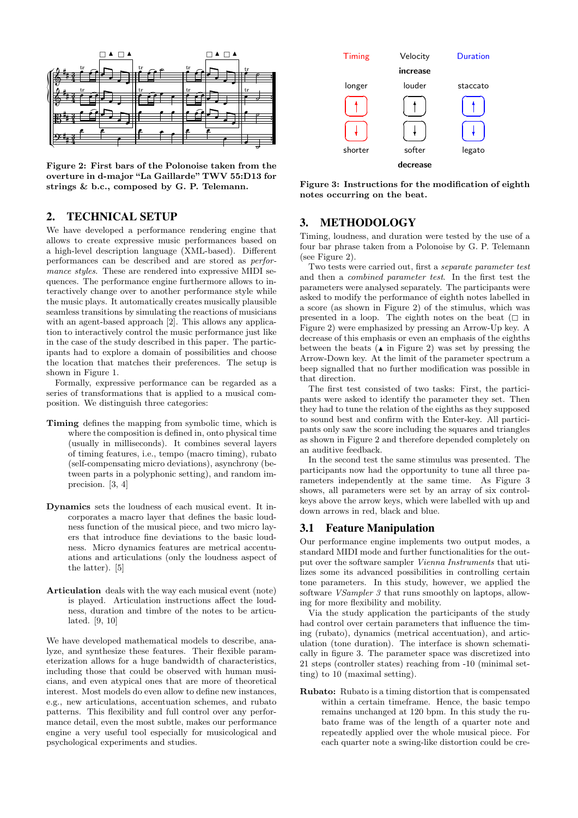

Figure 2: First bars of the Polonoise taken from the overture in d-major "La Gaillarde" TWV 55:D13 for strings & b.c., composed by G. P. Telemann.

#### 2. TECHNICAL SETUP

We have developed a performance rendering engine that allows to create expressive music performances based on a high-level description language (XML-based). Different performances can be described and are stored as performance styles. These are rendered into expressive MIDI sequences. The performance engine furthermore allows to interactively change over to another performance style while the music plays. It automatically creates musically plausible seamless transitions by simulating the reactions of musicians with an agent-based approach [2]. This allows any application to interactively control the music performance just like in the case of the study described in this paper. The participants had to explore a domain of possibilities and choose the location that matches their preferences. The setup is shown in Figure 1.

Formally, expressive performance can be regarded as a series of transformations that is applied to a musical composition. We distinguish three categories:

- where the composition is defined in, onto physical time Timing defines the mapping from symbolic time, which is (usually in milliseconds). It combines several layers of timing features, i.e., tempo (macro timing), rubato (self-compensating micro deviations), asynchrony (between parts in a polyphonic setting), and random imprecision. [3, 4]
- Dynamics sets the loudness of each musical event. It incorporates a macro layer that defines the basic loudness function of the musical piece, and two micro layers that introduce fine deviations to the basic loudness. Micro dynamics features are metrical accentuations and articulations (only the loudness aspect of the latter). [5]
- Articulation deals with the way each musical event (note) is played. Articulation instructions affect the loudness, duration and timbre of the notes to be articulated. [9, 10]

We have developed mathematical models to describe, analyze, and synthesize these features. Their flexible parameterization allows for a huge bandwidth of characteristics, including those that could be observed with human musicians, and even atypical ones that are more of theoretical interest. Most models do even allow to define new instances, e.g., new articulations, accentuation schemes, and rubato patterns. This flexibility and full control over any performance detail, even the most subtle, makes our performance engine a very useful tool especially for musicological and psychological experiments and studies.



Figure 3: Instructions for the modification of eighth notes occurring on the beat.

### 3. METHODOLOGY

Timing, loudness, and duration were tested by the use of a four bar phrase taken from a Polonoise by G. P. Telemann (see Figure 2).

Two tests were carried out, first a separate parameter test and then a combined parameter test. In the first test the parameters were analysed separately. The participants were asked to modify the performance of eighth notes labelled in a score (as shown in Figure 2) of the stimulus, which was presented in a loop. The eighth notes on the beat  $( \Box \text{ in }$ Figure 2) were emphasized by pressing an Arrow-Up key. A decrease of this emphasis or even an emphasis of the eighths between the beats ( $\triangle$  in Figure 2) was set by pressing the Arrow-Down key. At the limit of the parameter spectrum a beep signalled that no further modification was possible in that direction.

The first test consisted of two tasks: First, the participants were asked to identify the parameter they set. Then they had to tune the relation of the eighths as they supposed to sound best and confirm with the Enter-key. All participants only saw the score including the squares and triangles as shown in Figure 2 and therefore depended completely on an auditive feedback.

In the second test the same stimulus was presented. The participants now had the opportunity to tune all three parameters independently at the same time. As Figure 3 shows, all parameters were set by an array of six controlkeys above the arrow keys, which were labelled with up and down arrows in red, black and blue.

#### 3.1 Feature Manipulation

Our performance engine implements two output modes, a standard MIDI mode and further functionalities for the output over the software sampler Vienna Instruments that utilizes some its advanced possibilities in controlling certain tone parameters. In this study, however, we applied the software *VSampler 3* that runs smoothly on laptops, allowing for more flexibility and mobility.

Via the study application the participants of the study had control over certain parameters that influence the timing (rubato), dynamics (metrical accentuation), and articulation (tone duration). The interface is shown schematically in figure 3. The parameter space was discretized into 21 steps (controller states) reaching from -10 (minimal setting) to 10 (maximal setting).

Rubato: Rubato is a timing distortion that is compensated within a certain timeframe. Hence, the basic tempo remains unchanged at 120 bpm. In this study the rubato frame was of the length of a quarter note and repeatedly applied over the whole musical piece. For each quarter note a swing-like distortion could be cre-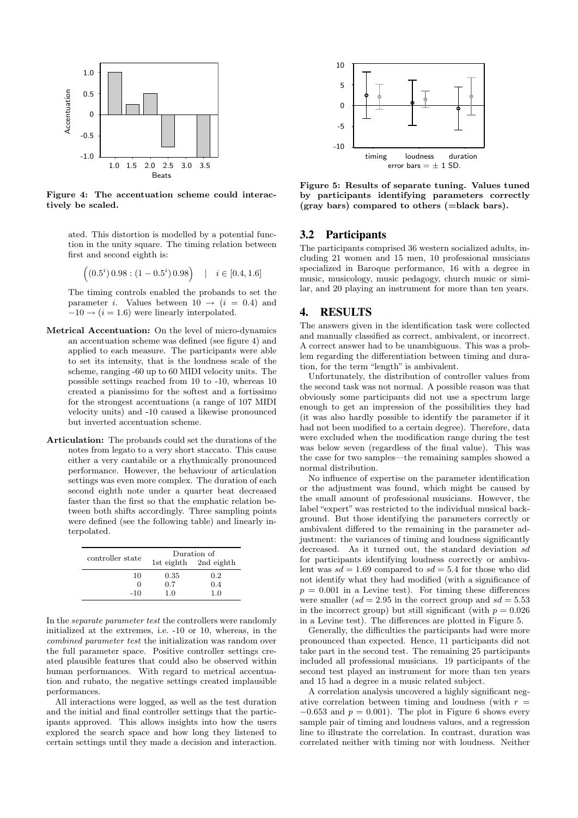

Figure 4: The accentuation scheme could interactively be scaled.

ated. This distortion is modelled by a potential function in the unity square. The timing relation between first and second eighth is:

$$
\left( (0.5^i) \, 0.98 : (1 - 0.5^i) \, 0.98 \right) \quad | \quad i \in [0.4, 1.6]
$$

The timing controls enabled the probands to set the parameter i. Values between  $10 \rightarrow (i = 0.4)$  and  $-10 \rightarrow (i = 1.6)$  were linearly interpolated.

- Metrical Accentuation: On the level of micro-dynamics an accentuation scheme was defined (see figure 4) and applied to each measure. The participants were able to set its intensity, that is the loudness scale of the scheme, ranging -60 up to 60 MIDI velocity units. The possible settings reached from 10 to -10, whereas 10 created a pianissimo for the softest and a fortissimo for the strongest accentuations (a range of 107 MIDI velocity units) and -10 caused a likewise pronounced but inverted accentuation scheme.
- Articulation: The probands could set the durations of the notes from legato to a very short staccato. This cause either a very cantabile or a rhythmically pronounced performance. However, the behaviour of articulation settings was even more complex. The duration of each second eighth note under a quarter beat decreased faster than the first so that the emphatic relation between both shifts accordingly. Three sampling points were defined (see the following table) and linearly interpolated.

| controller state | Duration of |                       |
|------------------|-------------|-----------------------|
|                  |             | 1st eighth 2nd eighth |
| 10               | 0.35        | 0.2                   |
| 0                | 0.7         | 0.4                   |
| $-10$            | 1.0         | 1.0                   |

In the separate parameter test the controllers were randomly initialized at the extremes, i.e. -10 or 10, whereas, in the combined parameter test the initialization was random over the full parameter space. Positive controller settings created plausible features that could also be observed within human performances. With regard to metrical accentuation and rubato, the negative settings created implausible performances.

All interactions were logged, as well as the test duration and the initial and final controller settings that the participants approved. This allows insights into how the users explored the search space and how long they listened to certain settings until they made a decision and interaction.



Figure 5: Results of separate tuning. Values tuned by participants identifying parameters correctly (gray bars) compared to others (=black bars).

#### 3.2 Participants

The participants comprised 36 western socialized adults, including 21 women and 15 men, 10 professional musicians specialized in Baroque performance, 16 with a degree in music, musicology, music pedagogy, church music or similar, and 20 playing an instrument for more than ten years.

#### 4. RESULTS

The answers given in the identification task were collected and manually classified as correct, ambivalent, or incorrect. A correct answer had to be unambiguous. This was a problem regarding the differentiation between timing and duration, for the term "length" is ambivalent.

Unfortunately, the distribution of controller values from the second task was not normal. A possible reason was that obviously some participants did not use a spectrum large enough to get an impression of the possibilities they had (it was also hardly possible to identify the parameter if it had not been modified to a certain degree). Therefore, data were excluded when the modification range during the test was below seven (regardless of the final value). This was the case for two samples—the remaining samples showed a normal distribution.

No influence of expertise on the parameter identification or the adjustment was found, which might be caused by the small amount of professional musicians. However, the label "expert" was restricted to the individual musical background. But those identifying the parameters correctly or ambivalent differed to the remaining in the parameter adjustment: the variances of timing and loudness significantly decreased. As it turned out, the standard deviation  $sd$ for participants identifying loudness correctly or ambivalent was  $sd = 1.69$  compared to  $sd = 5.4$  for those who did not identify what they had modified (with a significance of  $p = 0.001$  in a Levine test). For timing these differences were smaller  $sd = 2.95$  in the correct group and  $sd = 5.53$ in the incorrect group) but still significant (with  $p = 0.026$ ) in a Levine test). The differences are plotted in Figure 5.

Generally, the difficulties the participants had were more pronounced than expected. Hence, 11 participants did not take part in the second test. The remaining 25 participants included all professional musicians. 19 participants of the second test played an instrument for more than ten years and 15 had a degree in a music related subject.

A correlation analysis uncovered a highly significant negative correlation between timing and loudness (with  $r =$  $-0.653$  and  $p = 0.001$ . The plot in Figure 6 shows every sample pair of timing and loudness values, and a regression line to illustrate the correlation. In contrast, duration was correlated neither with timing nor with loudness. Neither